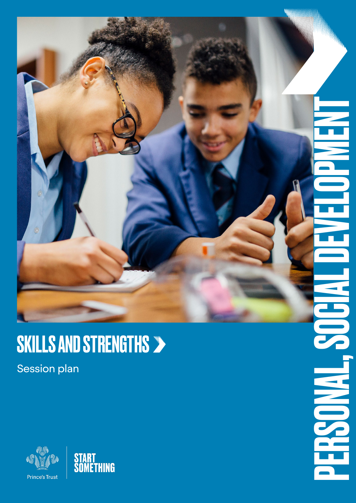

**NAMES** 

## SKILLS AND STRENGTHS

Session plan



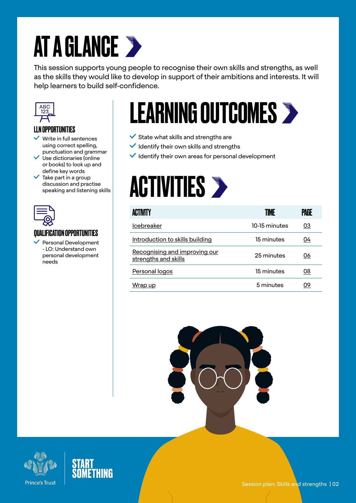# AT A GLANCE >

This session supports young people to recognise their own skills and strengths, as well as the skills they would like to develop in support of their ambitions and interests. It will help learners to build self-confidence.



## LLN OPPORTUNITIES

- $\vee$  Write in full sentences using correct spelling, punctuation and grammar
- $\checkmark$  Use dictionaries (online or books) to look up and
- define key words Take part in a group discussion and practise speaking and listening skills



## QUALIFICATION OPPORTUNITIES

 Personal Development - LO: Understand own personal development needs

# LEARNING OUTCOMES

- $\checkmark$  State what skills and strengths are
- $\checkmark$  Identify their own skills and strengths
- $\vee$  Identify their own areas for personal development

# **ACTIVITIES >**

| <b>ACTIVITY</b>                                       | TIMF          | PAGE |
|-------------------------------------------------------|---------------|------|
| <b>Icebreaker</b>                                     | 10-15 minutes | 03   |
| Introduction to skills building                       | 15 minutes    | 04   |
| Recognising and improving our<br>strengths and skills | 25 minutes    | 06   |
| Personal logos                                        | 15 minutes    | 08   |
| Wrap up                                               | 5 minutes     | 09   |



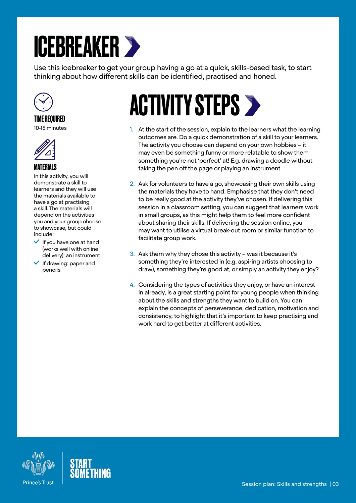# <span id="page-2-0"></span>ICEBREAKER

Use this icebreaker to get your group having a go at a quick, skills-based task, to start thinking about how different skills can be identified, practised and honed.



## TIME REQUIRED

10-15 minutes



## MATERIALS

In this activity, you will demonstrate a skill to learners and they will use the materials available to have a go at practising a skill. The materials will depend on the activities you and your group choose to showcase, but could include:

- $\vee$  If you have one at hand (works well with online delivery): an instrument
- $\blacktriangleright$  If drawing: paper and pencils

# **ACTIVITY STEPS >**

- 1. At the start of the session, explain to the learners what the learning outcomes are. Do a quick demonstration of a skill to your learners. The activity you choose can depend on your own hobbies – it may even be something funny or more relatable to show them something you're not 'perfect' at! E.g. drawing a doodle without taking the pen off the page or playing an instrument.
- 2. Ask for volunteers to have a go, showcasing their own skills using the materials they have to hand. Emphasise that they don't need to be really good at the activity they've chosen. If delivering this session in a classroom setting, you can suggest that learners work in small groups, as this might help them to feel more confident about sharing their skills. If delivering the session online, you may want to utilise a virtual break-out room or similar function to facilitate group work.
- 3. Ask them why they chose this activity was it because it's something they're interested in (e.g. aspiring artists choosing to draw), something they're good at, or simply an activity they enjoy?
- 4. Considering the types of activities they enjoy, or have an interest in already, is a great starting point for young people when thinking about the skills and strengths they want to build on. You can explain the concepts of perseverance, dedication, motivation and consistency, to highlight that it's important to keep practising and work hard to get better at different activities.



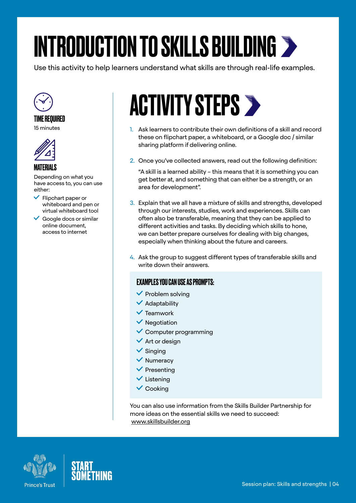# <span id="page-3-0"></span>INTRODUCTION TO SKILLS BUILDING

Use this activity to help learners understand what skills are through real-life examples.



#### TIME REQUIRED

15 minutes



## MATERIALS

Depending on what you have access to, you can use either:

- $\blacktriangleright$  Flipchart paper or whiteboard and pen or virtual whiteboard tool
- $\checkmark$  Google docs or similar online document, access to internet

# **ACTIVITY STEPS >**

- 1. Ask learners to contribute their own definitions of a skill and record these on flipchart paper, a whiteboard, or a Google doc / similar sharing platform if delivering online.
- 2. Once you've collected answers, read out the following definition:

"A skill is a learned ability – this means that it is something you can get better at, and something that can either be a strength, or an area for development".

- 3. Explain that we all have a mixture of skills and strengths, developed through our interests, studies, work and experiences. Skills can often also be transferable, meaning that they can be applied to different activities and tasks. By deciding which skills to hone, we can better prepare ourselves for dealing with big changes, especially when thinking about the future and careers.
- 4. Ask the group to suggest different types of transferable skills and write down their answers.

## EXAMPLES YOU CAN USE AS PROMPTS:

- $\blacktriangledown$  Problem solving
- $\blacktriangleright$  Adaptability
- $\checkmark$  Teamwork
- $\vee$  Negotiation
- $\checkmark$  Computer programming
- $\checkmark$  Art or design
- $\checkmark$  Singing
- $\vee$  Numeracy
- $\checkmark$  Presenting
- $\checkmark$  Listening
- $\vee$  Cooking

You can also use information from the Skills Builder Partnership for more ideas on the essential skills we need to succeed: [www.skillsbuilder.org](https://www.skillsbuilder.org/)



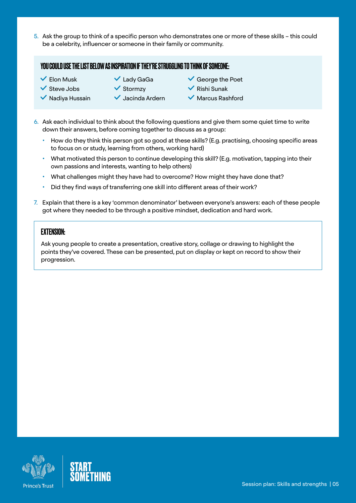5. Ask the group to think of a specific person who demonstrates one or more of these skills – this could be a celebrity, influencer or someone in their family or community.

#### YOU COULD USE THE LIST BELOW AS INSPIRATION IF THEY'RE STRUGGLING TO THINK OF SOMEONE:

- $\checkmark$  Flon Musk
- $\vee$  Lady GaGa
- $\checkmark$  Steve Jobs  $\blacktriangledown$  Nadiva Hussain
- $\checkmark$  Stormzy
	- $\checkmark$  Jacinda Ardern
- $\checkmark$  George the Poet
- $\checkmark$  Rishi Sunak
- Marcus Rashford
- 6. Ask each individual to think about the following questions and give them some quiet time to write down their answers, before coming together to discuss as a group:
	- How do they think this person got so good at these skills? (E.g. practising, choosing specific areas to focus on or study, learning from others, working hard)
	- What motivated this person to continue developing this skill? (E.g. motivation, tapping into their own passions and interests, wanting to help others)
	- What challenges might they have had to overcome? How might they have done that?
	- Did they find ways of transferring one skill into different areas of their work?
- 7. Explain that there is a key 'common denominator' between everyone's answers: each of these people got where they needed to be through a positive mindset, dedication and hard work.

#### EXTENSION:

Ask young people to create a presentation, creative story, collage or drawing to highlight the points they've covered. These can be presented, put on display or kept on record to show their progression.



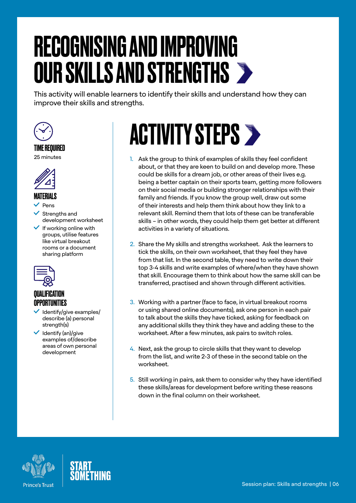# <span id="page-5-0"></span>RECOGNISING AND IMPROVING OUR SKILLS AND STRENGTHS

This activity will enable learners to identify their skills and understand how they can improve their skills and strengths.



## TIME REQUIRED

25 minutes



## MATERIALS

Pens

 Strengths and development worksheet

 $\checkmark$  If working online with groups, utilise features like virtual breakout rooms or a document sharing platform



## **QUALIFICATION** OPPORTUNITIES

- Identify/give examples/ describe (a) personal strength(s)
- $\checkmark$  Identify (an)/give examples of/describe areas of own personal development

# **ACTIVITY STEPS >**

- 1. Ask the group to think of examples of skills they feel confident about, or that they are keen to build on and develop more. These could be skills for a dream job, or other areas of their lives e.g. being a better captain on their sports team, getting more followers on their social media or building stronger relationships with their family and friends. If you know the group well, draw out some of their interests and help them think about how they link to a relevant skill. Remind them that lots of these can be transferable skills – in other words, they could help them get better at different activities in a variety of situations.
- 2. Share the My skills and strengths worksheet. Ask the learners to tick the skills, on their own worksheet, that they feel they have from that list. In the second table, they need to write down their top 3-4 skills and write examples of where/when they have shown that skill. Encourage them to think about how the same skill can be transferred, practised and shown through different activities.
- 3. Working with a partner (face to face, in virtual breakout rooms or using shared online documents), ask one person in each pair to talk about the skills they have ticked, asking for feedback on any additional skills they think they have and adding these to the worksheet. After a few minutes, ask pairs to switch roles.
- 4. Next, ask the group to circle skills that they want to develop from the list, and write 2-3 of these in the second table on the worksheet.
- 5. Still working in pairs, ask them to consider why they have identified these skills/areas for development before writing these reasons down in the final column on their worksheet.



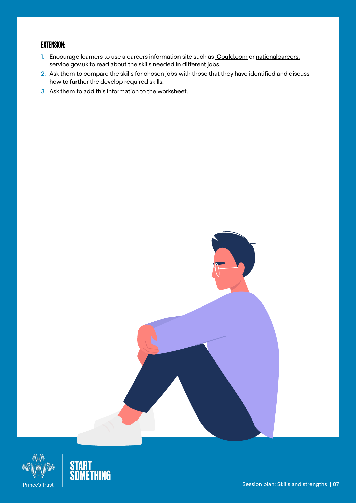## EXTENSION:

- 1. Encourage learners to use a careers information site such as [iCould.com](https://icould.com/) or [nationalcareers.](https://nationalcareers.service.gov.uk/) [service.gov.uk](https://nationalcareers.service.gov.uk/) to read about the skills needed in different jobs.
- 2. Ask them to compare the skills for chosen jobs with those that they have identified and discuss how to further the develop required skills.
- 3. Ask them to add this information to the worksheet.



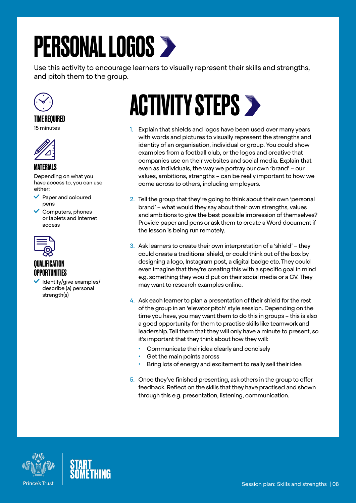# <span id="page-7-0"></span>PERSONAL LOGOS >

Use this activity to encourage learners to visually represent their skills and strengths, and pitch them to the group.



#### TIME REQUIRED

15 minutes



#### MATERIALS

Depending on what you have access to, you can use either:

- $\vee$  Paper and coloured pens
- $\checkmark$  Computers, phones or tablets and internet access



## QUALIFICATION OPPORTUNITIES

 Identify/give examples/ describe (a) personal strength(s)

# **ACTIVITY STEPS >**

- 1. Explain that shields and logos have been used over many years with words and pictures to visually represent the strengths and identity of an organisation, individual or group. You could show examples from a football club, or the logos and creative that companies use on their websites and social media. Explain that even as individuals, the way we portray our own 'brand' – our values, ambitions, strengths – can be really important to how we come across to others, including employers.
- 2. Tell the group that they're going to think about their own 'personal brand' – what would they say about their own strengths, values and ambitions to give the best possible impression of themselves? Provide paper and pens or ask them to create a Word document if the lesson is being run remotely.
- 3. Ask learners to create their own interpretation of a 'shield' they could create a traditional shield, or could think out of the box by designing a logo, Instagram post, a digital badge etc. They could even imagine that they're creating this with a specific goal in mind e.g. something they would put on their social media or a CV. They may want to research examples online.
- 4. Ask each learner to plan a presentation of their shield for the rest of the group in an 'elevator pitch' style session. Depending on the time you have, you may want them to do this in groups – this is also a good opportunity for them to practise skills like teamwork and leadership. Tell them that they will only have a minute to present, so it's important that they think about how they will:
	- Communicate their idea clearly and concisely
	- Get the main points across
	- Bring lots of energy and excitement to really sell their idea
- 5. Once they've finished presenting, ask others in the group to offer feedback. Reflect on the skills that they have practised and shown through this e.g. presentation, listening, communication.